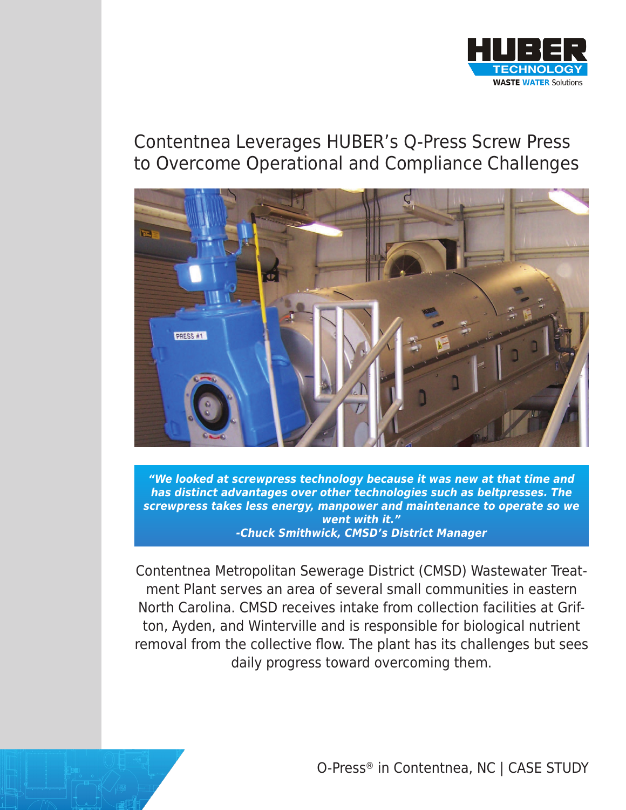

# Contentnea Leverages HUBER's Q-Press Screw Press to Overcome Operational and Compliance Challenges



*"We looked at screwpress technology because it was new at that time and has distinct advantages over other technologies such as beltpresses. The screwpress takes less energy, manpower and maintenance to operate so we went with it." -Chuck Smithwick, CMSD's District Manager*

Contentnea Metropolitan Sewerage District (CMSD) Wastewater Treatment Plant serves an area of several small communities in eastern North Carolina. CMSD receives intake from collection facilities at Grifton, Ayden, and Winterville and is responsible for biological nutrient removal from the collective flow. The plant has its challenges but sees daily progress toward overcoming them.



O-Press® in Contentnea, NC | CASE STUDY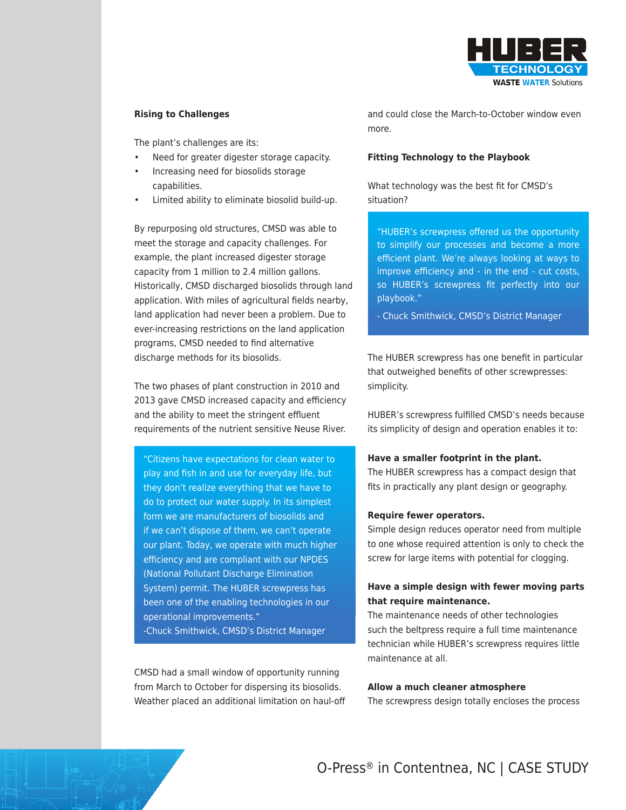

## **Rising to Challenges**

The plant's challenges are its:

- Need for greater digester storage capacity.
- Increasing need for biosolids storage capabilities.
- Limited ability to eliminate biosolid build-up.

By repurposing old structures, CMSD was able to meet the storage and capacity challenges. For example, the plant increased digester storage capacity from 1 million to 2.4 million gallons. Historically, CMSD discharged biosolids through land application. With miles of agricultural fields nearby, land application had never been a problem. Due to ever-increasing restrictions on the land application programs, CMSD needed to find alternative discharge methods for its biosolids.

The two phases of plant construction in 2010 and 2013 gave CMSD increased capacity and efficiency and the ability to meet the stringent effluent requirements of the nutrient sensitive Neuse River.

"Citizens have expectations for clean water to play and fish in and use for everyday life, but they don't realize everything that we have to do to protect our water supply. In its simplest form we are manufacturers of biosolids and if we can't dispose of them, we can't operate our plant. Today, we operate with much higher efficiency and are compliant with our NPDES (National Pollutant Discharge Elimination System) permit. The HUBER screwpress has been one of the enabling technologies in our operational improvements." -Chuck Smithwick, CMSD's District Manager

CMSD had a small window of opportunity running from March to October for dispersing its biosolids. Weather placed an additional limitation on haul-off and could close the March-to-October window even more.

## **Fitting Technology to the Playbook**

What technology was the best fit for CMSD's situation?

"HUBER's screwpress offered us the opportunity to simplify our processes and become a more efficient plant. We're always looking at ways to improve efficiency and - in the end - cut costs, so HUBER's screwpress fit perfectly into our playbook."

- Chuck Smithwick, CMSD's District Manager

The HUBER screwpress has one benefit in particular that outweighed benefits of other screwpresses: simplicity.

HUBER's screwpress fulfilled CMSD's needs because its simplicity of design and operation enables it to:

#### **Have a smaller footprint in the plant.**

The HUBER screwpress has a compact design that fits in practically any plant design or geography.

#### **Require fewer operators.**

Simple design reduces operator need from multiple to one whose required attention is only to check the screw for large items with potential for clogging.

# **Have a simple design with fewer moving parts that require maintenance.**

The maintenance needs of other technologies such the beltpress require a full time maintenance technician while HUBER's screwpress requires little maintenance at all.

#### **Allow a much cleaner atmosphere**

The screwpress design totally encloses the process